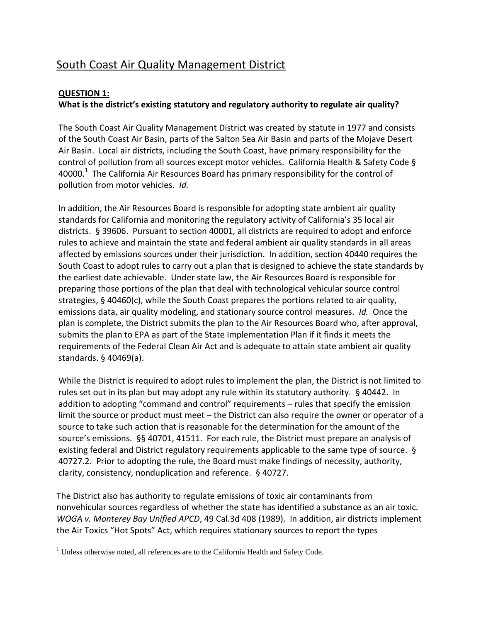# South Coast Air Quality Management District

## **QUESTION 1:**

 $\overline{\phantom{a}}$ 

## **What is the district's existing statutory and regulatory authority to regulate air quality?**

The South Coast Air Quality Management District was created by statute in 1977 and consists of the South Coast Air Basin, parts of the Salton Sea Air Basin and parts of the Mojave Desert Air Basin. Local air districts, including the South Coast, have primary responsibility for the control of pollution from all sources except motor vehicles. California Health & Safety Code § 40000.<sup>1</sup> The California Air Resources Board has primary responsibility for the control of pollution from motor vehicles. *Id.*

In addition, the Air Resources Board is responsible for adopting state ambient air quality standards for California and monitoring the regulatory activity of California's 35 local air districts. § 39606. Pursuant to section 40001, all districts are required to adopt and enforce rules to achieve and maintain the state and federal ambient air quality standards in all areas affected by emissions sources under their jurisdiction. In addition, section 40440 requires the South Coast to adopt rules to carry out a plan that is designed to achieve the state standards by the earliest date achievable. Under state law, the Air Resources Board is responsible for preparing those portions of the plan that deal with technological vehicular source control strategies, § 40460(c), while the South Coast prepares the portions related to air quality, emissions data, air quality modeling, and stationary source control measures. *Id.* Once the plan is complete, the District submits the plan to the Air Resources Board who, after approval, submits the plan to EPA as part of the State Implementation Plan if it finds it meets the requirements of the Federal Clean Air Act and is adequate to attain state ambient air quality standards. § 40469(a).

While the District is required to adopt rules to implement the plan, the District is not limited to rules set out in its plan but may adopt any rule within its statutory authority. § 40442. In addition to adopting "command and control" requirements – rules that specify the emission limit the source or product must meet – the District can also require the owner or operator of a source to take such action that is reasonable for the determination for the amount of the source's emissions. §§ 40701, 41511. For each rule, the District must prepare an analysis of existing federal and District regulatory requirements applicable to the same type of source. § 40727.2. Prior to adopting the rule, the Board must make findings of necessity, authority, clarity, consistency, nonduplication and reference. § 40727.

The District also has authority to regulate emissions of toxic air contaminants from nonvehicular sources regardless of whether the state has identified a substance as an air toxic. *WOGA v. Monterey Bay Unified APCD*, 49 Cal.3d 408 (1989). In addition, air districts implement the Air Toxics "Hot Spots" Act, which requires stationary sources to report the types

 $1$  Unless otherwise noted, all references are to the California Health and Safety Code.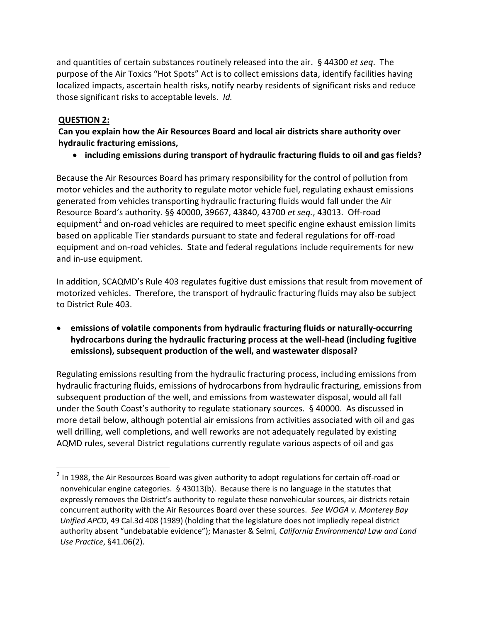and quantities of certain substances routinely released into the air. § 44300 *et seq*. The purpose of the Air Toxics "Hot Spots" Act is to collect emissions data, identify facilities having localized impacts, ascertain health risks, notify nearby residents of significant risks and reduce those significant risks to acceptable levels. *Id.*

## **QUESTION 2:**

 $\overline{a}$ 

**Can you explain how the Air Resources Board and local air districts share authority over hydraulic fracturing emissions,** 

**including emissions during transport of hydraulic fracturing fluids to oil and gas fields?** 

Because the Air Resources Board has primary responsibility for the control of pollution from motor vehicles and the authority to regulate motor vehicle fuel, regulating exhaust emissions generated from vehicles transporting hydraulic fracturing fluids would fall under the Air Resource Board's authority. §§ 40000, 39667, 43840, 43700 *et seq.*, 43013. Off-road equipment<sup>2</sup> and on-road vehicles are required to meet specific engine exhaust emission limits based on applicable Tier standards pursuant to state and federal regulations for off-road equipment and on-road vehicles. State and federal regulations include requirements for new and in-use equipment.

In addition, SCAQMD's Rule 403 regulates fugitive dust emissions that result from movement of motorized vehicles. Therefore, the transport of hydraulic fracturing fluids may also be subject to District Rule 403.

 **emissions of volatile components from hydraulic fracturing fluids or naturally-occurring hydrocarbons during the hydraulic fracturing process at the well-head (including fugitive emissions), subsequent production of the well, and wastewater disposal?** 

Regulating emissions resulting from the hydraulic fracturing process, including emissions from hydraulic fracturing fluids, emissions of hydrocarbons from hydraulic fracturing, emissions from subsequent production of the well, and emissions from wastewater disposal, would all fall under the South Coast's authority to regulate stationary sources. § 40000. As discussed in more detail below, although potential air emissions from activities associated with oil and gas well drilling, well completions, and well reworks are not adequately regulated by existing AQMD rules, several District regulations currently regulate various aspects of oil and gas

 $^{2}$  In 1988, the Air Resources Board was given authority to adopt regulations for certain off-road or nonvehicular engine categories. § 43013(b). Because there is no language in the statutes that expressly removes the District's authority to regulate these nonvehicular sources, air districts retain concurrent authority with the Air Resources Board over these sources. *See WOGA v. Monterey Bay Unified APCD*, 49 Cal.3d 408 (1989) (holding that the legislature does not impliedly repeal district authority absent "undebatable evidence"); Manaster & Selmi*, California Environmental Law and Land Use Practice*, §41.06(2).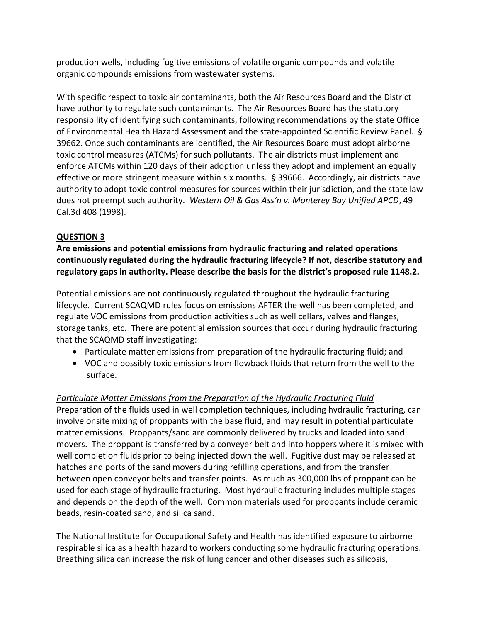production wells, including fugitive emissions of volatile organic compounds and volatile organic compounds emissions from wastewater systems.

With specific respect to toxic air contaminants, both the Air Resources Board and the District have authority to regulate such contaminants. The Air Resources Board has the statutory responsibility of identifying such contaminants, following recommendations by the state Office of Environmental Health Hazard Assessment and the state-appointed Scientific Review Panel. § 39662. Once such contaminants are identified, the Air Resources Board must adopt airborne toxic control measures (ATCMs) for such pollutants. The air districts must implement and enforce ATCMs within 120 days of their adoption unless they adopt and implement an equally effective or more stringent measure within six months. § 39666. Accordingly, air districts have authority to adopt toxic control measures for sources within their jurisdiction, and the state law does not preempt such authority. *Western Oil & Gas Ass'n v. Monterey Bay Unified APCD*, 49 Cal.3d 408 (1998).

# **QUESTION 3**

**Are emissions and potential emissions from hydraulic fracturing and related operations continuously regulated during the hydraulic fracturing lifecycle? If not, describe statutory and regulatory gaps in authority. Please describe the basis for the district's proposed rule 1148.2.** 

Potential emissions are not continuously regulated throughout the hydraulic fracturing lifecycle. Current SCAQMD rules focus on emissions AFTER the well has been completed, and regulate VOC emissions from production activities such as well cellars, valves and flanges, storage tanks, etc. There are potential emission sources that occur during hydraulic fracturing that the SCAQMD staff investigating:

- Particulate matter emissions from preparation of the hydraulic fracturing fluid; and
- VOC and possibly toxic emissions from flowback fluids that return from the well to the surface.

# *Particulate Matter Emissions from the Preparation of the Hydraulic Fracturing Fluid*

Preparation of the fluids used in well completion techniques, including hydraulic fracturing, can involve onsite mixing of proppants with the base fluid, and may result in potential particulate matter emissions. Proppants/sand are commonly delivered by trucks and loaded into sand movers. The proppant is transferred by a conveyer belt and into hoppers where it is mixed with well completion fluids prior to being injected down the well. Fugitive dust may be released at hatches and ports of the sand movers during refilling operations, and from the transfer between open conveyor belts and transfer points. As much as 300,000 lbs of proppant can be used for each stage of hydraulic fracturing. Most hydraulic fracturing includes multiple stages and depends on the depth of the well. Common materials used for proppants include ceramic beads, resin-coated sand, and silica sand.

The National Institute for Occupational Safety and Health has identified exposure to airborne respirable silica as a health hazard to workers conducting some hydraulic fracturing operations. Breathing silica can increase the risk of lung cancer and other diseases such as silicosis,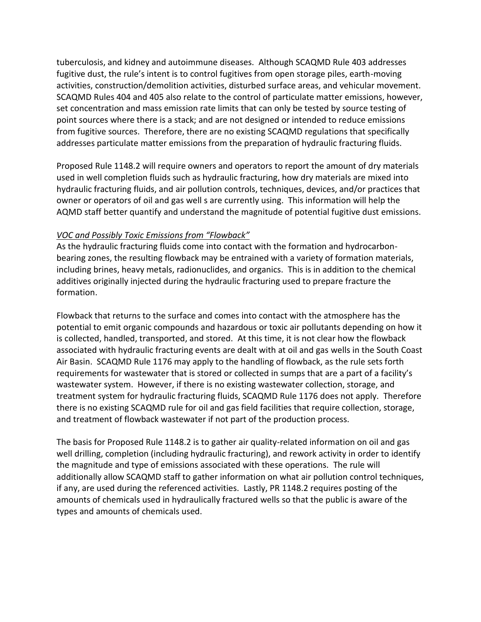tuberculosis, and kidney and autoimmune diseases. Although SCAQMD Rule 403 addresses fugitive dust, the rule's intent is to control fugitives from open storage piles, earth-moving activities, construction/demolition activities, disturbed surface areas, and vehicular movement. SCAQMD Rules 404 and 405 also relate to the control of particulate matter emissions, however, set concentration and mass emission rate limits that can only be tested by source testing of point sources where there is a stack; and are not designed or intended to reduce emissions from fugitive sources. Therefore, there are no existing SCAQMD regulations that specifically addresses particulate matter emissions from the preparation of hydraulic fracturing fluids.

Proposed Rule 1148.2 will require owners and operators to report the amount of dry materials used in well completion fluids such as hydraulic fracturing, how dry materials are mixed into hydraulic fracturing fluids, and air pollution controls, techniques, devices, and/or practices that owner or operators of oil and gas well s are currently using. This information will help the AQMD staff better quantify and understand the magnitude of potential fugitive dust emissions.

### *VOC and Possibly Toxic Emissions from "Flowback"*

As the hydraulic fracturing fluids come into contact with the formation and hydrocarbonbearing zones, the resulting flowback may be entrained with a variety of formation materials, including brines, heavy metals, radionuclides, and organics. This is in addition to the chemical additives originally injected during the hydraulic fracturing used to prepare fracture the formation.

Flowback that returns to the surface and comes into contact with the atmosphere has the potential to emit organic compounds and hazardous or toxic air pollutants depending on how it is collected, handled, transported, and stored. At this time, it is not clear how the flowback associated with hydraulic fracturing events are dealt with at oil and gas wells in the South Coast Air Basin. SCAQMD Rule 1176 may apply to the handling of flowback, as the rule sets forth requirements for wastewater that is stored or collected in sumps that are a part of a facility's wastewater system. However, if there is no existing wastewater collection, storage, and treatment system for hydraulic fracturing fluids, SCAQMD Rule 1176 does not apply. Therefore there is no existing SCAQMD rule for oil and gas field facilities that require collection, storage, and treatment of flowback wastewater if not part of the production process.

The basis for Proposed Rule 1148.2 is to gather air quality-related information on oil and gas well drilling, completion (including hydraulic fracturing), and rework activity in order to identify the magnitude and type of emissions associated with these operations. The rule will additionally allow SCAQMD staff to gather information on what air pollution control techniques, if any, are used during the referenced activities. Lastly, PR 1148.2 requires posting of the amounts of chemicals used in hydraulically fractured wells so that the public is aware of the types and amounts of chemicals used.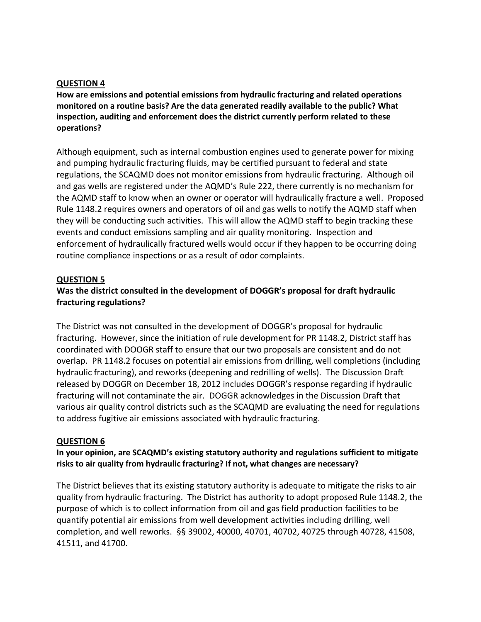#### **QUESTION 4**

**How are emissions and potential emissions from hydraulic fracturing and related operations monitored on a routine basis? Are the data generated readily available to the public? What inspection, auditing and enforcement does the district currently perform related to these operations?** 

Although equipment, such as internal combustion engines used to generate power for mixing and pumping hydraulic fracturing fluids, may be certified pursuant to federal and state regulations, the SCAQMD does not monitor emissions from hydraulic fracturing. Although oil and gas wells are registered under the AQMD's Rule 222, there currently is no mechanism for the AQMD staff to know when an owner or operator will hydraulically fracture a well. Proposed Rule 1148.2 requires owners and operators of oil and gas wells to notify the AQMD staff when they will be conducting such activities. This will allow the AQMD staff to begin tracking these events and conduct emissions sampling and air quality monitoring. Inspection and enforcement of hydraulically fractured wells would occur if they happen to be occurring doing routine compliance inspections or as a result of odor complaints.

#### **QUESTION 5**

### **Was the district consulted in the development of DOGGR's proposal for draft hydraulic fracturing regulations?**

The District was not consulted in the development of DOGGR's proposal for hydraulic fracturing. However, since the initiation of rule development for PR 1148.2, District staff has coordinated with DOOGR staff to ensure that our two proposals are consistent and do not overlap. PR 1148.2 focuses on potential air emissions from drilling, well completions (including hydraulic fracturing), and reworks (deepening and redrilling of wells). The Discussion Draft released by DOGGR on December 18, 2012 includes DOGGR's response regarding if hydraulic fracturing will not contaminate the air. DOGGR acknowledges in the Discussion Draft that various air quality control districts such as the SCAQMD are evaluating the need for regulations to address fugitive air emissions associated with hydraulic fracturing.

#### **QUESTION 6**

#### **In your opinion, are SCAQMD's existing statutory authority and regulations sufficient to mitigate risks to air quality from hydraulic fracturing? If not, what changes are necessary?**

The District believes that its existing statutory authority is adequate to mitigate the risks to air quality from hydraulic fracturing. The District has authority to adopt proposed Rule 1148.2, the purpose of which is to collect information from oil and gas field production facilities to be quantify potential air emissions from well development activities including drilling, well completion, and well reworks. §§ 39002, 40000, 40701, 40702, 40725 through 40728, 41508, 41511, and 41700.